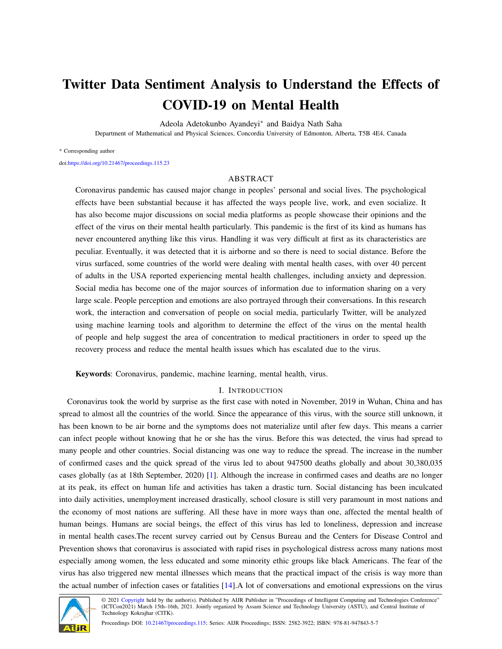# Twitter Data Sentiment Analysis to Understand the Effects of COVID-19 on Mental Health

Adeola Adetokunbo Ayandeyi<sup>∗</sup> and Baidya Nath Saha

Department of Mathematical and Physical Sciences, Concordia University of Edmonton, Alberta, T5B 4E4, Canada

#### \* Corresponding author

doi[:https://doi.org/10.21467/proceedings.115.23](https://doi.org/10.21467/proceedings.115.23)

## ABSTRACT

Coronavirus pandemic has caused major change in peoples' personal and social lives. The psychological effects have been substantial because it has affected the ways people live, work, and even socialize. It has also become major discussions on social media platforms as people showcase their opinions and the effect of the virus on their mental health particularly. This pandemic is the first of its kind as humans has never encountered anything like this virus. Handling it was very difficult at first as its characteristics are peculiar. Eventually, it was detected that it is airborne and so there is need to social distance. Before the virus surfaced, some countries of the world were dealing with mental health cases, with over 40 percent of adults in the USA reported experiencing mental health challenges, including anxiety and depression. Social media has become one of the major sources of information due to information sharing on a very large scale. People perception and emotions are also portrayed through their conversations. In this research work, the interaction and conversation of people on social media, particularly Twitter, will be analyzed using machine learning tools and algorithm to determine the effect of the virus on the mental health of people and help suggest the area of concentration to medical practitioners in order to speed up the recovery process and reduce the mental health issues which has escalated due to the virus.

Keywords: Coronavirus, pandemic, machine learning, mental health, virus.

## I. INTRODUCTION

Coronavirus took the world by surprise as the first case with noted in November, 2019 in Wuhan, China and has spread to almost all the countries of the world. Since the appearance of this virus, with the source still unknown, it has been known to be air borne and the symptoms does not materialize until after few days. This means a carrier can infect people without knowing that he or she has the virus. Before this was detected, the virus had spread to many people and other countries. Social distancing was one way to reduce the spread. The increase in the number of confirmed cases and the quick spread of the virus led to about 947500 deaths globally and about 30,380,035 cases globally (as at 18th September, 2020) [\[1\]](#page-5-0). Although the increase in confirmed cases and deaths are no longer at its peak, its effect on human life and activities has taken a drastic turn. Social distancing has been inculcated into daily activities, unemployment increased drastically, school closure is still very paramount in most nations and the economy of most nations are suffering. All these have in more ways than one, affected the mental health of human beings. Humans are social beings, the effect of this virus has led to loneliness, depression and increase in mental health cases.The recent survey carried out by Census Bureau and the Centers for Disease Control and Prevention shows that coronavirus is associated with rapid rises in psychological distress across many nations most especially among women, the less educated and some minority ethic groups like black Americans. The fear of the virus has also triggered new mental illnesses which means that the practical impact of the crisis is way more than the actual number of infection cases or fatalities [\[14\]](#page-5-1).A lot of conversations and emotional expressions on the virus



© 2021 [Copyright](https://aijr.org/about/policies/copyright/) held by the author(s). Published by AIJR Publisher in "Proceedings of Intelligent Computing and Technologies Conference" (ICTCon2021) March 15th–16th, 2021. Jointly organized by Assam Science and Technology University (ASTU), and Central Institute of Technology Kokrajhar (CITK).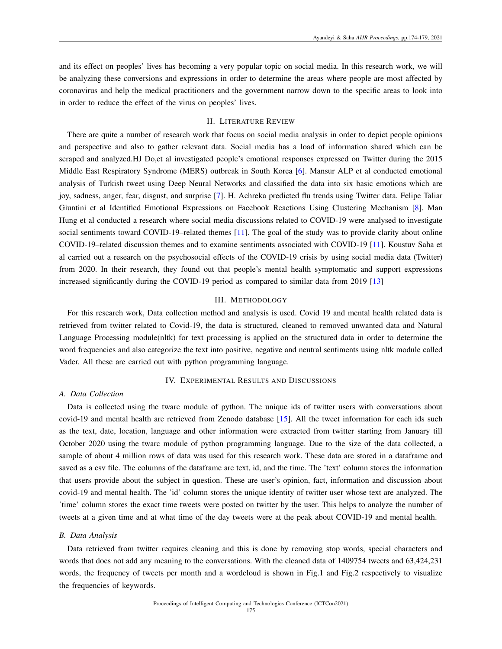and its effect on peoples' lives has becoming a very popular topic on social media. In this research work, we will be analyzing these conversions and expressions in order to determine the areas where people are most affected by coronavirus and help the medical practitioners and the government narrow down to the specific areas to look into in order to reduce the effect of the virus on peoples' lives.

## II. LITERATURE REVIEW

There are quite a number of research work that focus on social media analysis in order to depict people opinions and perspective and also to gather relevant data. Social media has a load of information shared which can be scraped and analyzed.HJ Do,et al investigated people's emotional responses expressed on Twitter during the 2015 Middle East Respiratory Syndrome (MERS) outbreak in South Korea [\[6\]](#page-5-2). Mansur ALP et al conducted emotional analysis of Turkish tweet using Deep Neural Networks and classified the data into six basic emotions which are joy, sadness, anger, fear, disgust, and surprise [\[7\]](#page-5-3). H. Achreka predicted flu trends using Twitter data. Felipe Taliar Giuntini et al Identified Emotional Expressions on Facebook Reactions Using Clustering Mechanism [\[8\]](#page-5-4). Man Hung et al conducted a research where social media discussions related to COVID-19 were analysed to investigate social sentiments toward COVID-19–related themes [\[11\]](#page-5-5). The goal of the study was to provide clarity about online COVID-19–related discussion themes and to examine sentiments associated with COVID-19 [\[11\]](#page-5-5). Koustuv Saha et al carried out a research on the psychosocial effects of the COVID-19 crisis by using social media data (Twitter) from 2020. In their research, they found out that people's mental health symptomatic and support expressions increased significantly during the COVID-19 period as compared to similar data from 2019 [\[13\]](#page-5-6)

## III. METHODOLOGY

For this research work, Data collection method and analysis is used. Covid 19 and mental health related data is retrieved from twitter related to Covid-19, the data is structured, cleaned to removed unwanted data and Natural Language Processing module(nltk) for text processing is applied on the structured data in order to determine the word frequencies and also categorize the text into positive, negative and neutral sentiments using nltk module called Vader. All these are carried out with python programming language.

### IV. EXPERIMENTAL RESULTS AND DISCUSSIONS

## *A. Data Collection*

Data is collected using the twarc module of python. The unique ids of twitter users with conversations about covid-19 and mental health are retrieved from Zenodo database [\[15\]](#page-5-7). All the tweet information for each ids such as the text, date, location, language and other information were extracted from twitter starting from January till October 2020 using the twarc module of python programming language. Due to the size of the data collected, a sample of about 4 million rows of data was used for this research work. These data are stored in a dataframe and saved as a csv file. The columns of the dataframe are text, id, and the time. The 'text' column stores the information that users provide about the subject in question. These are user's opinion, fact, information and discussion about covid-19 and mental health. The 'id' column stores the unique identity of twitter user whose text are analyzed. The 'time' column stores the exact time tweets were posted on twitter by the user. This helps to analyze the number of tweets at a given time and at what time of the day tweets were at the peak about COVID-19 and mental health.

#### *B. Data Analysis*

Data retrieved from twitter requires cleaning and this is done by removing stop words, special characters and words that does not add any meaning to the conversations. With the cleaned data of 1409754 tweets and 63,424,231 words, the frequency of tweets per month and a wordcloud is shown in Fig.1 and Fig.2 respectively to visualize the frequencies of keywords.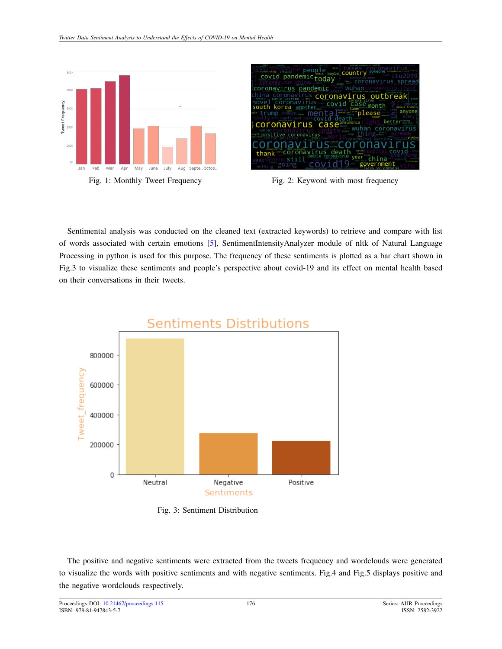





Fig. 1: Monthly Tweet Frequency Fig. 2: Keyword with most frequency

Sentimental analysis was conducted on the cleaned text (extracted keywords) to retrieve and compare with list of words associated with certain emotions [\[5\]](#page-5-8), SentimentIntensityAnalyzer module of nltk of Natural Language Processing in python is used for this purpose. The frequency of these sentiments is plotted as a bar chart shown in Fig.3 to visualize these sentiments and people's perspective about covid-19 and its effect on mental health based on their conversations in their tweets.



Fig. 3: Sentiment Distribution

The positive and negative sentiments were extracted from the tweets frequency and wordclouds were generated to visualize the words with positive sentiments and with negative sentiments. Fig.4 and Fig.5 displays positive and the negative wordclouds respectively.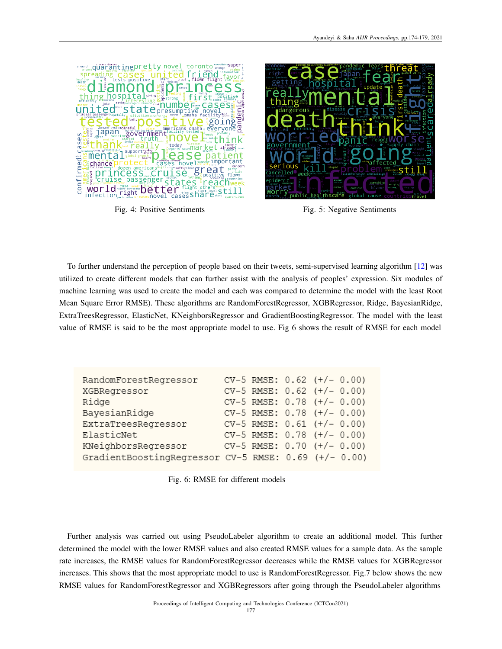



Fig. 4: Positive Sentiments Fig. 5: Negative Sentiments

To further understand the perception of people based on their tweets, semi-supervised learning algorithm [\[12\]](#page-5-9) was utilized to create different models that can further assist with the analysis of peoples' expression. Six modules of machine learning was used to create the model and each was compared to determine the model with the least Root Mean Square Error RMSE). These algorithms are RandomForestRegressor, XGBRegressor, Ridge, BayesianRidge, ExtraTreesRegressor, ElasticNet, KNeighborsRegressor and GradientBoostingRegressor. The model with the least value of RMSE is said to be the most appropriate model to use. Fig 6 shows the result of RMSE for each model

| RandomForestRegressor                                |  | $CV-5$ RMSE: $0.62$ $(+/- 0.00)$ |
|------------------------------------------------------|--|----------------------------------|
| XGBRegressor                                         |  | $CV-5$ RMSE: $0.62$ $(+/- 0.00)$ |
| Ridge                                                |  | $CV-5$ RMSE: $0.78$ $(+/- 0.00)$ |
| BayesianRidge                                        |  | $CV-5$ RMSE: $0.78$ $(+/- 0.00)$ |
| ExtraTreesRegressor                                  |  | $CV-5$ RMSE: $0.61$ (+/- 0.00)   |
| ElasticNet                                           |  | $CV-5$ RMSE: $0.78$ $(+/- 0.00)$ |
| KNeighborsRegressor                                  |  | $CV-5$ RMSE: $0.70$ $(+/- 0.00)$ |
| GradientBoostingRegressor CV-5 RMSE: 0.69 (+/- 0.00) |  |                                  |

Fig. 6: RMSE for different models

Further analysis was carried out using PseudoLabeler algorithm to create an additional model. This further determined the model with the lower RMSE values and also created RMSE values for a sample data. As the sample rate increases, the RMSE values for RandomForestRegressor decreases while the RMSE values for XGBRegressor increases. This shows that the most appropriate model to use is RandomForestRegressor. Fig.7 below shows the new RMSE values for RandomForestRegressor and XGBRegressors after going through the PseudoLabeler algorithms

177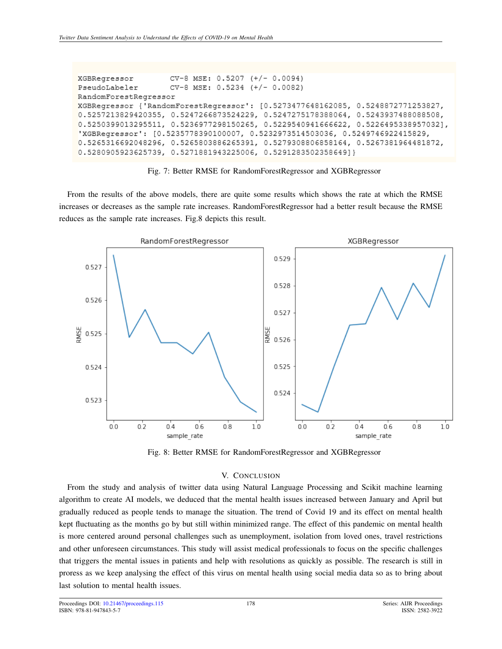```
CV-8 MSE: 0.5207
XGBRegressor
                                     (+/- 0.0094)PseudoLabeler
                    CV-8MSE: 0.5234
                                     (+/- 0.0082)RandomForestRegressor
XGBReqressor {'RandomForestReqressor': [0.5273477648162085, 0.5248872771253827,
0.5257213829420355, 0.5247266873524229, 0.5247275178388064, 0.5243937488088508,
0.5250399013295511, 0.5236977298150265, 0.5229540941666622, 0.5226495338957032],
'XGBRegressor': [0.5235778390100007, 0.5232973514503036, 0.5249746922415829,
0.5265316692048296, 0.5265803886265391, 0.5279308806858164, 0.5267381964481872,
0.5280905923625739, 0.5271881943225006, 0.5291283502358649]}
```
## Fig. 7: Better RMSE for RandomForestRegressor and XGBRegressor

From the results of the above models, there are quite some results which shows the rate at which the RMSE increases or decreases as the sample rate increases. RandomForestRegressor had a better result because the RMSE reduces as the sample rate increases. Fig.8 depicts this result.



Fig. 8: Better RMSE for RandomForestRegressor and XGBRegressor

# V. CONCLUSION

From the study and analysis of twitter data using Natural Language Processing and Scikit machine learning algorithm to create AI models, we deduced that the mental health issues increased between January and April but gradually reduced as people tends to manage the situation. The trend of Covid 19 and its effect on mental health kept fluctuating as the months go by but still within minimized range. The effect of this pandemic on mental health is more centered around personal challenges such as unemployment, isolation from loved ones, travel restrictions and other unforeseen circumstances. This study will assist medical professionals to focus on the specific challenges that triggers the mental issues in patients and help with resolutions as quickly as possible. The research is still in proress as we keep analysing the effect of this virus on mental health using social media data so as to bring about last solution to mental health issues.